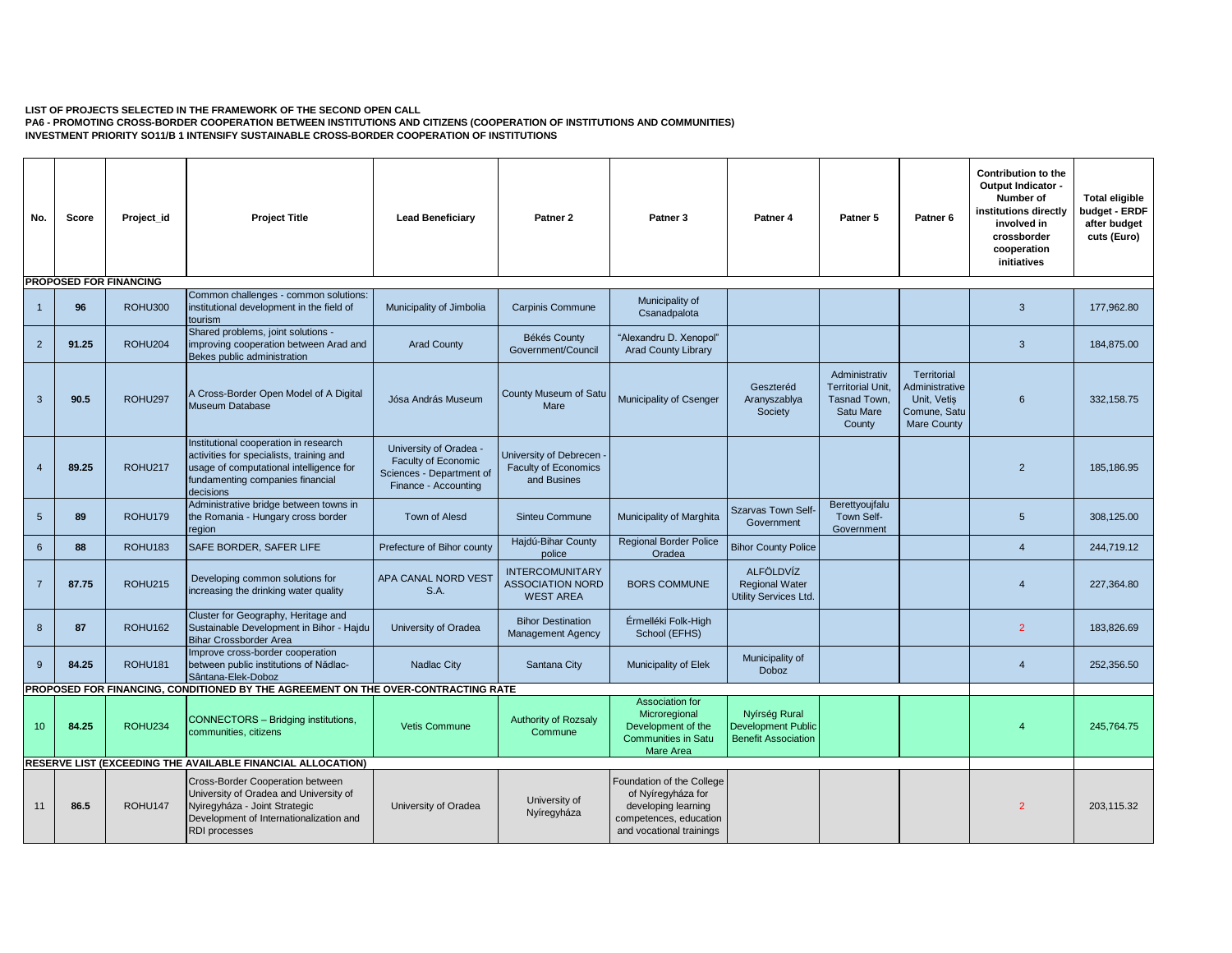## **LIST OF PROJECTS SELECTED IN THE FRAMEWORK OF THE SECOND OPEN CALL**

**PA6 - PROMOTING CROSS-BORDER COOPERATION BETWEEN INSTITUTIONS AND CITIZENS (COOPERATION OF INSTITUTIONS AND COMMUNITIES) INVESTMENT PRIORITY SO11/B 1 INTENSIFY SUSTAINABLE CROSS-BORDER COOPERATION OF INSTITUTIONS** 

| No.             | Score | Project id                    | <b>Project Title</b>                                                                                                                                                           | <b>Lead Beneficiary</b>                                                                           | Patner 2                                                               | Patner <sub>3</sub>                                                                                                          | Patner <sub>4</sub>                                                      | Patner 5                                                                         | Patner <sub>6</sub>                                                                | <b>Contribution to the</b><br>Output Indicator -<br>Number of<br>institutions directly<br>involved in<br>crossborder<br>cooperation<br>initiatives | <b>Total eligible</b><br>budget - ERDF<br>after budget<br>cuts (Euro) |
|-----------------|-------|-------------------------------|--------------------------------------------------------------------------------------------------------------------------------------------------------------------------------|---------------------------------------------------------------------------------------------------|------------------------------------------------------------------------|------------------------------------------------------------------------------------------------------------------------------|--------------------------------------------------------------------------|----------------------------------------------------------------------------------|------------------------------------------------------------------------------------|----------------------------------------------------------------------------------------------------------------------------------------------------|-----------------------------------------------------------------------|
|                 |       | <b>PROPOSED FOR FINANCING</b> |                                                                                                                                                                                |                                                                                                   |                                                                        |                                                                                                                              |                                                                          |                                                                                  |                                                                                    |                                                                                                                                                    |                                                                       |
| $\overline{1}$  | 96    | <b>ROHU300</b>                | Common challenges - common solutions:<br>institutional development in the field of<br>tourism                                                                                  | Municipality of Jimbolia                                                                          | <b>Carpinis Commune</b>                                                | Municipality of<br>Csanadpalota                                                                                              |                                                                          |                                                                                  |                                                                                    | $\mathbf{3}$                                                                                                                                       | 177,962.80                                                            |
| 2               | 91.25 | <b>ROHU204</b>                | Shared problems, joint solutions -<br>improving cooperation between Arad and<br>Bekes public administration                                                                    | <b>Arad County</b>                                                                                | Békés County<br>Government/Council                                     | "Alexandru D. Xenopol"<br><b>Arad County Library</b>                                                                         |                                                                          |                                                                                  |                                                                                    | $\mathbf{3}$                                                                                                                                       | 184.875.00                                                            |
| 3               | 90.5  | ROHU297                       | A Cross-Border Open Model of A Digital<br>Museum Database                                                                                                                      | Jósa András Museum                                                                                | County Museum of Satu<br>Mare                                          | Municipality of Csenger                                                                                                      | Geszteréd<br>Aranyszablya<br>Society                                     | Administrativ<br><b>Territorial Unit,</b><br>Tasnad Town.<br>Satu Mare<br>County | Territorial<br>Administrative<br>Unit. Vetis<br>Comune, Satu<br><b>Mare County</b> | 6                                                                                                                                                  | 332.158.75                                                            |
| $\overline{4}$  | 89.25 | ROHU217                       | Institutional cooperation in research<br>activities for specialists, training and<br>usage of computational intelligence for<br>fundamenting companies financial<br>decisions  | University of Oradea -<br>Faculty of Economic<br>Sciences - Department of<br>Finance - Accounting | University of Debrecen -<br><b>Faculty of Economics</b><br>and Busines |                                                                                                                              |                                                                          |                                                                                  |                                                                                    | $\overline{2}$                                                                                                                                     | 185, 186.95                                                           |
| $5\overline{)}$ | 89    | ROHU179                       | Administrative bridge between towns in<br>the Romania - Hungary cross border<br>region                                                                                         | Town of Alesd                                                                                     | <b>Sinteu Commune</b>                                                  | Municipality of Marghita                                                                                                     | <b>Szarvas Town Self-</b><br>Government                                  | Berettyoujfalu<br>Town Self-<br>Government                                       |                                                                                    | $5\overline{)}$                                                                                                                                    | 308.125.00                                                            |
| $6\phantom{1}$  | 88    | <b>ROHU183</b>                | SAFE BORDER, SAFER LIFE                                                                                                                                                        | Prefecture of Bihor county                                                                        | Hajdú-Bihar County<br>police                                           | <b>Regional Border Police</b><br>Oradea                                                                                      | <b>Bihor County Police</b>                                               |                                                                                  |                                                                                    | $\overline{4}$                                                                                                                                     | 244,719.12                                                            |
| $\overline{7}$  | 87.75 | <b>ROHU215</b>                | Developing common solutions for<br>increasing the drinking water quality                                                                                                       | APA CANAL NORD VEST<br>S.A.                                                                       | <b>INTERCOMUNITARY</b><br><b>ASSOCIATION NORD</b><br><b>WEST AREA</b>  | <b>BORS COMMUNE</b>                                                                                                          | <b>ALFÖLDVÍZ</b><br><b>Regional Water</b><br>Utility Services Ltd.       |                                                                                  |                                                                                    | $\overline{4}$                                                                                                                                     | 227,364.80                                                            |
| 8               | 87    | <b>ROHU162</b>                | Cluster for Geography, Heritage and<br>Sustainable Development in Bihor - Hajdu<br><b>Bihar Crossborder Area</b>                                                               | University of Oradea                                                                              | <b>Bihor Destination</b><br><b>Management Agency</b>                   | Érmelléki Folk-High<br>School (EFHS)                                                                                         |                                                                          |                                                                                  |                                                                                    | $\overline{2}$                                                                                                                                     | 183.826.69                                                            |
| 9               | 84.25 | <b>ROHU181</b>                | Improve cross-border cooperation<br>between public institutions of Nădlac-<br>Sântana-Elek-Doboz                                                                               | Nadlac City                                                                                       | Santana City                                                           | Municipality of Elek                                                                                                         | Municipality of<br><b>Doboz</b>                                          |                                                                                  |                                                                                    | $\overline{4}$                                                                                                                                     | 252.356.50                                                            |
|                 |       |                               | PROPOSED FOR FINANCING, CONDITIONED BY THE AGREEMENT ON THE OVER-CONTRACTING RATE                                                                                              |                                                                                                   |                                                                        |                                                                                                                              |                                                                          |                                                                                  |                                                                                    |                                                                                                                                                    |                                                                       |
| 10              | 84.25 | ROHU234                       | CONNECTORS - Bridging institutions,<br>communities, citizens                                                                                                                   | Vetis Commune                                                                                     | <b>Authority of Rozsaly</b><br>Commune                                 | Association for<br>Microregional<br>Development of the<br><b>Communities in Satu</b><br>Mare Area                            | Nyírség Rural<br><b>Development Public</b><br><b>Benefit Association</b> |                                                                                  |                                                                                    |                                                                                                                                                    | 245.764.75                                                            |
|                 |       |                               | RESERVE LIST (EXCEEDING THE AVAILABLE FINANCIAL ALLOCATION)                                                                                                                    |                                                                                                   |                                                                        |                                                                                                                              |                                                                          |                                                                                  |                                                                                    |                                                                                                                                                    |                                                                       |
| 11              | 86.5  | ROHU147                       | Cross-Border Cooperation between<br>University of Oradea and University of<br>Nyiregyháza - Joint Strategic<br>Development of Internationalization and<br><b>RDI</b> processes | University of Oradea                                                                              | University of<br>Nyíregyháza                                           | Foundation of the College<br>of Nyíregyháza for<br>developing learning<br>competences, education<br>and vocational trainings |                                                                          |                                                                                  |                                                                                    | $\mathcal{P}$                                                                                                                                      | 203.115.32                                                            |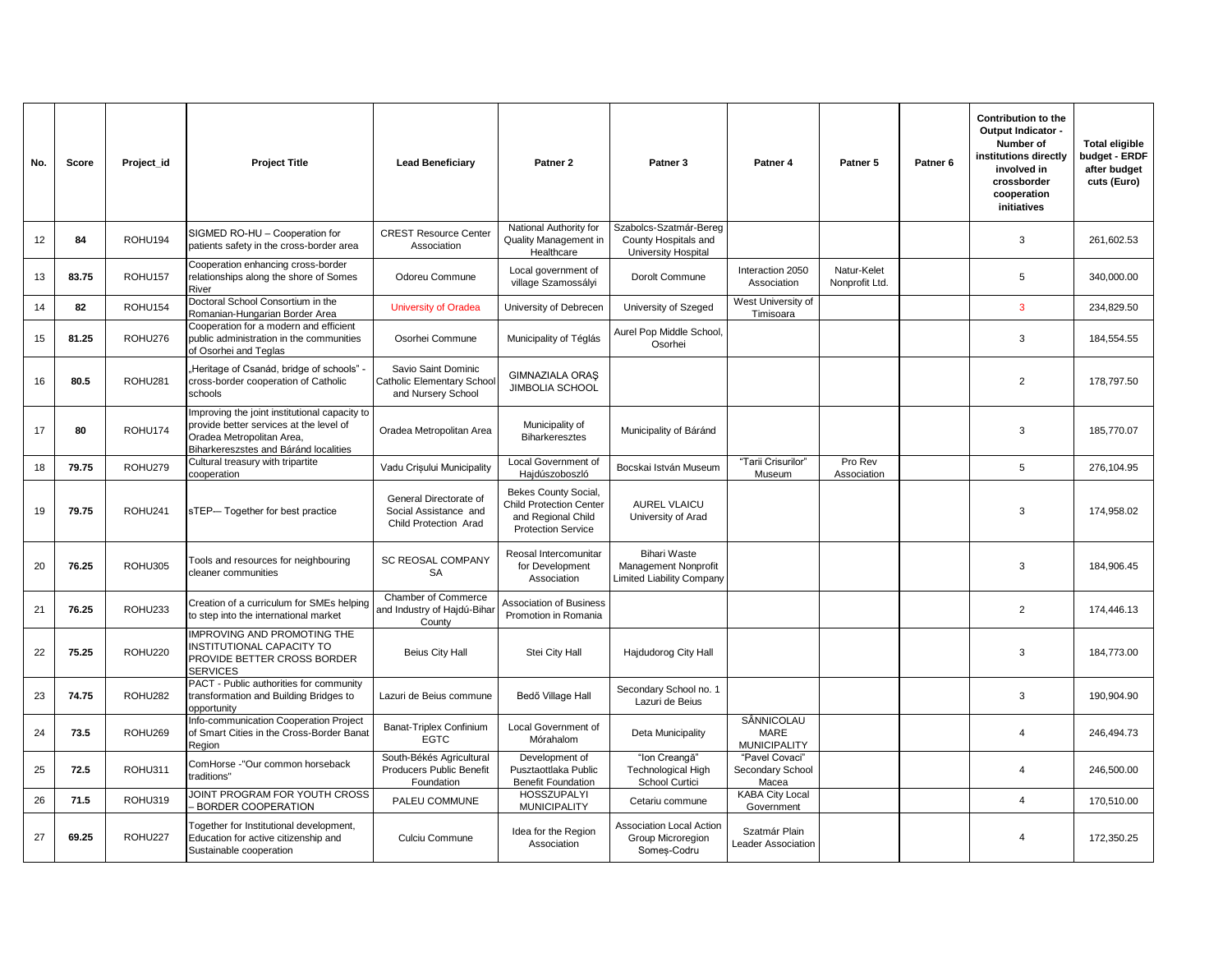| No. | Score | Project_id | <b>Project Title</b>                                                                                                                                           | <b>Lead Beneficiarv</b>                                                   | Patner <sub>2</sub>                                                                                       | Patner <sub>3</sub>                                                             | Patner 4                                         | Patner 5                      | Patner <sub>6</sub> | Contribution to the<br>Output Indicator -<br>Number of<br>institutions directly<br>involved in<br>crossborder<br>cooperation<br>initiatives | <b>Total eligible</b><br>budget - ERDF<br>after budget<br>cuts (Euro) |
|-----|-------|------------|----------------------------------------------------------------------------------------------------------------------------------------------------------------|---------------------------------------------------------------------------|-----------------------------------------------------------------------------------------------------------|---------------------------------------------------------------------------------|--------------------------------------------------|-------------------------------|---------------------|---------------------------------------------------------------------------------------------------------------------------------------------|-----------------------------------------------------------------------|
| 12  | 84    | ROHU194    | SIGMED RO-HU - Cooperation for<br>patients safety in the cross-border area                                                                                     | <b>CREST Resource Center</b><br>Association                               | National Authority for<br>Quality Management in<br>Healthcare                                             | Szabolcs-Szatmár-Bereg<br>County Hospitals and<br><b>University Hospital</b>    |                                                  |                               |                     | 3                                                                                                                                           | 261,602.53                                                            |
| 13  | 83.75 | ROHU157    | Cooperation enhancing cross-border<br>relationships along the shore of Somes<br>River                                                                          | Odoreu Commune                                                            | Local government of<br>village Szamossályi                                                                | Dorolt Commune                                                                  | Interaction 2050<br>Association                  | Natur-Kelet<br>Nonprofit Ltd. |                     | 5                                                                                                                                           | 340.000.00                                                            |
| 14  | 82    | ROHU154    | Doctoral School Consortium in the<br>Romanian-Hungarian Border Area                                                                                            | <b>University of Oradea</b>                                               | University of Debrecen                                                                                    | University of Szeged                                                            | West University of<br>Timisoara                  |                               |                     | $\overline{3}$                                                                                                                              | 234.829.50                                                            |
| 15  | 81.25 | ROHU276    | Cooperation for a modern and efficient<br>public administration in the communities<br>of Osorhei and Teglas                                                    | Osorhei Commune                                                           | Municipality of Téglás                                                                                    | Aurel Pop Middle School,<br>Osorhei                                             |                                                  |                               |                     | 3                                                                                                                                           | 184,554.55                                                            |
| 16  | 80.5  | ROHU281    | Heritage of Csanád, bridge of schools" -<br>cross-border cooperation of Catholic<br>schools                                                                    | Savio Saint Dominic<br>Catholic Elementary Schoo<br>and Nursery School    | <b>GIMNAZIALA ORAS</b><br><b>JIMBOLIA SCHOOL</b>                                                          |                                                                                 |                                                  |                               |                     | 2                                                                                                                                           | 178,797.50                                                            |
| 17  | 80    | ROHU174    | Improving the joint institutional capacity to<br>provide better services at the level of<br>Oradea Metropolitan Area.<br>Biharkereszstes and Báránd localities | Oradea Metropolitan Area                                                  | Municipality of<br><b>Biharkeresztes</b>                                                                  | Municipality of Báránd                                                          |                                                  |                               |                     | 3                                                                                                                                           | 185,770.07                                                            |
| 18  | 79.75 | ROHU279    | Cultural treasury with tripartite<br>cooperation                                                                                                               | Vadu Crișului Municipality                                                | Local Government of<br>Hajdúszoboszló                                                                     | Bocskai István Museum                                                           | "Tarii Crisurilor<br>Museum                      | Pro Rev<br>Association        |                     | 5                                                                                                                                           | 276,104.95                                                            |
| 19  | 79.75 | ROHU241    | sTEP-- Together for best practice                                                                                                                              | General Directorate of<br>Social Assistance and<br>Child Protection Arad  | Bekes County Social,<br><b>Child Protection Center</b><br>and Regional Child<br><b>Protection Service</b> | <b>AUREL VLAICU</b><br>University of Arad                                       |                                                  |                               |                     | 3                                                                                                                                           | 174.958.02                                                            |
| 20  | 76.25 | ROHU305    | Tools and resources for neighbouring<br>cleaner communities                                                                                                    | SC REOSAL COMPANY<br>SA                                                   | Reosal Intercomunitar<br>for Development<br>Association                                                   | <b>Bihari Waste</b><br>Management Nonprofit<br><b>Limited Liability Company</b> |                                                  |                               |                     | 3                                                                                                                                           | 184,906.45                                                            |
| 21  | 76.25 | ROHU233    | Creation of a curriculum for SMEs helping<br>to step into the international market                                                                             | Chamber of Commerce<br>and Industry of Hajdú-Bihai<br>County              | <b>Association of Business</b><br>Promotion in Romania                                                    |                                                                                 |                                                  |                               |                     | 2                                                                                                                                           | 174,446.13                                                            |
| 22  | 75.25 | ROHU220    | MPROVING AND PROMOTING THE<br><b>NSTITUTIONAL CAPACITY TO</b><br>PROVIDE BETTER CROSS BORDER<br><b>SERVICES</b>                                                | <b>Beius City Hall</b>                                                    | Stei City Hall                                                                                            | Hajdudorog City Hall                                                            |                                                  |                               |                     | 3                                                                                                                                           | 184,773.00                                                            |
| 23  | 74.75 | ROHU282    | PACT - Public authorities for community<br>transformation and Building Bridges to<br>opportunity                                                               | Lazuri de Beius commune                                                   | Bedő Village Hall                                                                                         | Secondary School no. 1<br>Lazuri de Beius                                       |                                                  |                               |                     | 3                                                                                                                                           | 190,904.90                                                            |
| 24  | 73.5  | ROHU269    | Info-communication Cooperation Project<br>of Smart Cities in the Cross-Border Banat<br>Region                                                                  | <b>Banat-Triplex Confinium</b><br><b>EGTC</b>                             | Local Government of<br>Mórahalom                                                                          | Deta Municipality                                                               | SÂNNICOLAU<br><b>MARE</b><br><b>MUNICIPALITY</b> |                               |                     | $\overline{4}$                                                                                                                              | 246,494.73                                                            |
| 25  | 72.5  | ROHU311    | ComHorse -"Our common horseback<br>traditions"                                                                                                                 | South-Békés Agricultural<br><b>Producers Public Benefit</b><br>Foundation | Development of<br>Pusztaottlaka Public<br><b>Benefit Foundation</b>                                       | "Ion Creangă"<br><b>Technological High</b><br>School Curtici                    | "Pavel Covaci"<br>Secondary School<br>Macea      |                               |                     | $\overline{4}$                                                                                                                              | 246.500.00                                                            |
| 26  | 71.5  | ROHU319    | JOINT PROGRAM FOR YOUTH CROSS<br><b>BORDER COOPERATION</b>                                                                                                     | PALEU COMMUNE                                                             | <b>HOSSZUPALYI</b><br><b>MUNICIPALITY</b>                                                                 | Cetariu commune                                                                 | <b>KABA City Local</b><br>Government             |                               |                     | $\overline{4}$                                                                                                                              | 170.510.00                                                            |
| 27  | 69.25 | ROHU227    | Together for Institutional development,<br>Education for active citizenship and<br>Sustainable cooperation                                                     | Culciu Commune                                                            | Idea for the Region<br>Association                                                                        | <b>Association Local Action</b><br>Group Microregion<br>Somes-Codru             | Szatmár Plain<br><b>Leader Association</b>       |                               |                     | 4                                                                                                                                           | 172,350.25                                                            |